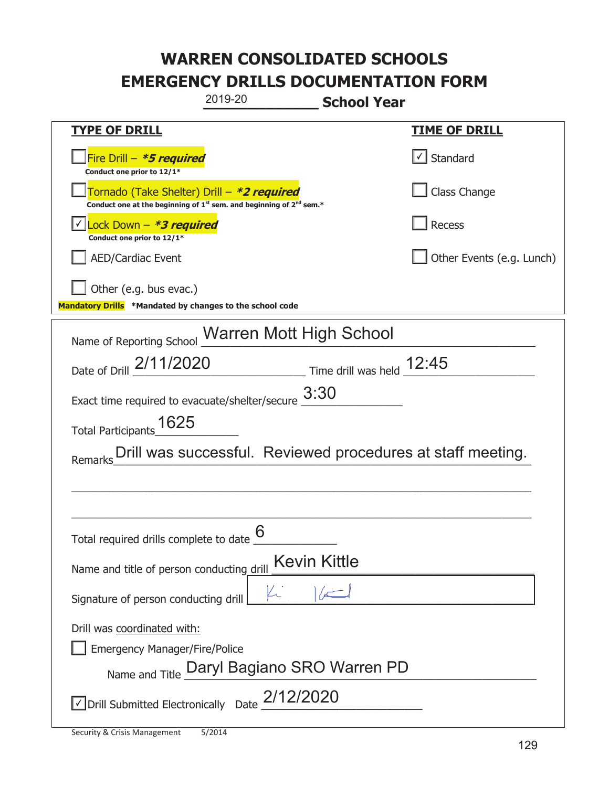| 2019-20<br><b>School Year</b>                                                                                               |                           |  |
|-----------------------------------------------------------------------------------------------------------------------------|---------------------------|--|
| <b>TYPE OF DRILL</b>                                                                                                        | <u>TIME OF DRILL</u>      |  |
| Fire Drill - *5 required<br>Conduct one prior to 12/1*                                                                      | $\cup$ Standard           |  |
| Tornado (Take Shelter) Drill - *2 required<br>Conduct one at the beginning of $1^{st}$ sem. and beginning of $2^{nd}$ sem.* | Class Change              |  |
| Lock Down - *3 required<br>Conduct one prior to 12/1*                                                                       | Recess                    |  |
| <b>AED/Cardiac Event</b>                                                                                                    | Other Events (e.g. Lunch) |  |
| Other (e.g. bus evac.)<br>Mandatory Drills *Mandated by changes to the school code                                          |                           |  |
| Name of Reporting School Marren Mott High School                                                                            |                           |  |
| Date of Drill 2/11/2020 Time drill was held 12:45                                                                           |                           |  |
| Exact time required to evacuate/shelter/secure $\underline{\hspace{1em}3:}30$                                               |                           |  |
| Total Participants_1625                                                                                                     |                           |  |
| Drill was successful. Reviewed procedures at staff meeting.<br>Remarks                                                      |                           |  |
|                                                                                                                             |                           |  |
|                                                                                                                             |                           |  |
| 6<br>Total required drills complete to date                                                                                 |                           |  |
| <b>Kevin Kittle</b><br>Name and title of person conducting drill                                                            |                           |  |
| $\mathbb{N}^*$<br>Signature of person conducting drill                                                                      |                           |  |
| Drill was coordinated with:                                                                                                 |                           |  |
| <b>Emergency Manager/Fire/Police</b>                                                                                        |                           |  |
| Name and Title Daryl Bagiano SRO Warren PD                                                                                  |                           |  |
| $\sqrt{\phantom{a}}$ Drill Submitted Electronically Date $\frac{2/12/2020}{\phantom{a}}$                                    |                           |  |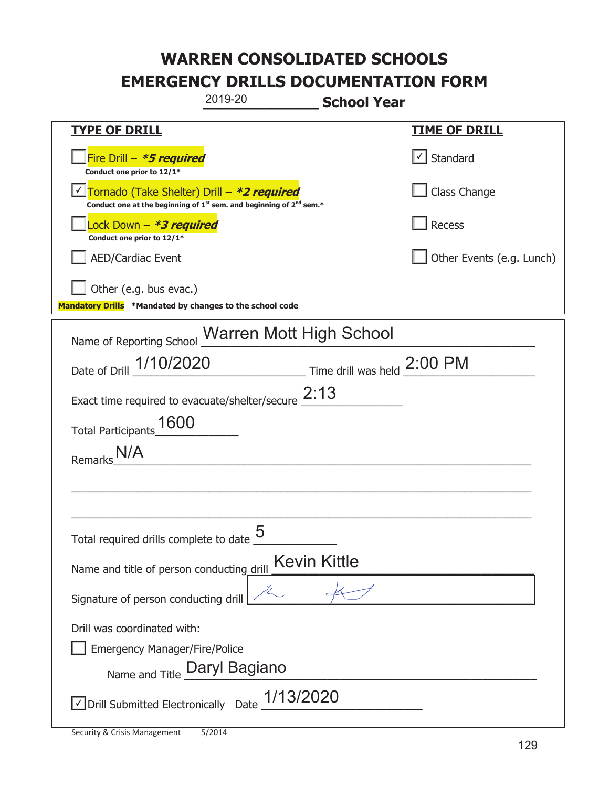| 2019-20                                                                                                                                   | <b>School Year</b>                               |                           |
|-------------------------------------------------------------------------------------------------------------------------------------------|--------------------------------------------------|---------------------------|
| <b>TYPE OF DRILL</b>                                                                                                                      |                                                  | <b>TIME OF DRILL</b>      |
| Fire Drill - *5 required<br>Conduct one prior to 12/1*                                                                                    |                                                  | √ Standard                |
| Tornado (Take Shelter) Drill - *2 required<br>Conduct one at the beginning of 1 <sup>st</sup> sem. and beginning of 2 <sup>nd</sup> sem.* |                                                  | Class Change              |
| Lock Down - *3 required<br>Conduct one prior to 12/1*                                                                                     |                                                  | Recess                    |
| AED/Cardiac Event                                                                                                                         |                                                  | Other Events (e.g. Lunch) |
| Other (e.g. bus evac.)<br>Mandatory Drills *Mandated by changes to the school code                                                        |                                                  |                           |
|                                                                                                                                           | Name of Reporting School Warren Mott High School |                           |
| Date of Drill 1/10/2020                                                                                                                   | $\frac{1}{2:00}$ PM                              |                           |
| Exact time required to evacuate/shelter/secure $2:13$                                                                                     |                                                  |                           |
| Total Participants_1600                                                                                                                   |                                                  |                           |
| Remarks                                                                                                                                   |                                                  |                           |
|                                                                                                                                           |                                                  |                           |
|                                                                                                                                           |                                                  |                           |
| Total required drills complete to date $\frac{0}{2}$                                                                                      | 5                                                |                           |
| Name and title of person conducting drill                                                                                                 | <b>Kevin Kittle</b>                              |                           |
| Signature of person conducting drill                                                                                                      |                                                  |                           |
| Drill was coordinated with:                                                                                                               |                                                  |                           |
| <b>Emergency Manager/Fire/Police</b>                                                                                                      |                                                  |                           |
| Name and Title Daryl Bagiano                                                                                                              |                                                  |                           |
| √ Drill Submitted Electronically Date                                                                                                     | 1/13/2020                                        |                           |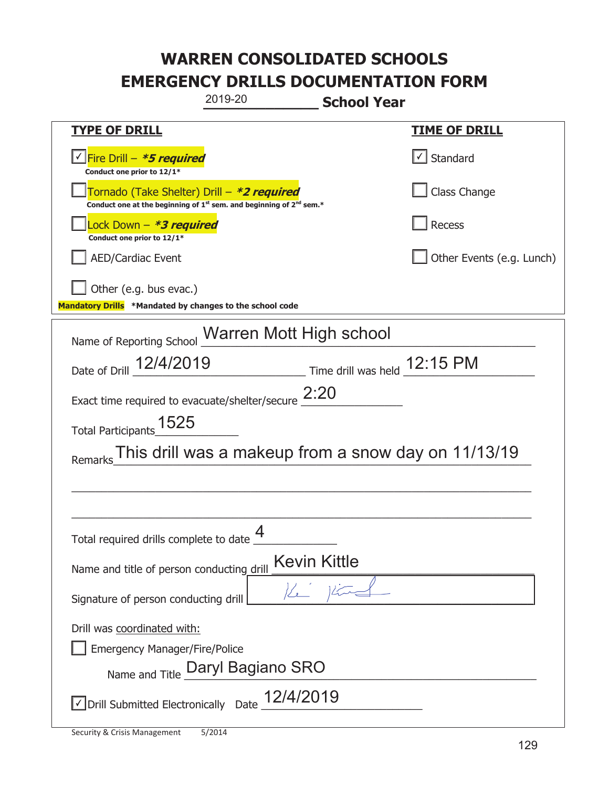| 2019-20<br><b>School Year</b>                                                                                               |                              |  |
|-----------------------------------------------------------------------------------------------------------------------------|------------------------------|--|
| <b>TYPE OF DRILL</b>                                                                                                        | <u>TIME OF DRILL</u>         |  |
| √Fire Drill – <i>*<b>5 required</b></i><br>Conduct one prior to 12/1*                                                       | √ Standard                   |  |
| Tornado (Take Shelter) Drill - *2 required<br>Conduct one at the beginning of $1^{st}$ sem. and beginning of $2^{nd}$ sem.* | Class Change                 |  |
| Lock Down – <b><i>*3 required</i></b><br>Conduct one prior to 12/1*                                                         | Recess                       |  |
| <b>AED/Cardiac Event</b>                                                                                                    | Other Events (e.g. Lunch)    |  |
| Other (e.g. bus evac.)<br>Mandatory Drills *Mandated by changes to the school code                                          |                              |  |
| Name of Reporting School Warren Mott High school                                                                            |                              |  |
| Date of Drill 12/4/2019                                                                                                     | Time drill was held 12:15 PM |  |
| Exact time required to evacuate/shelter/secure $2:20$                                                                       |                              |  |
| Total Participants_1525                                                                                                     |                              |  |
| This drill was a makeup from a snow day on 11/13/19<br>Remarks                                                              |                              |  |
|                                                                                                                             |                              |  |
|                                                                                                                             |                              |  |
| Total required drills complete to date                                                                                      |                              |  |
| Kevin Kittle<br>Name and title of person conducting drill                                                                   |                              |  |
| $K$ 1<br>Signature of person conducting drill                                                                               |                              |  |
| Drill was coordinated with:                                                                                                 |                              |  |
| <b>Emergency Manager/Fire/Police</b>                                                                                        |                              |  |
| Name and Title Daryl Bagiano SRO                                                                                            |                              |  |
| $\sqrt{\phantom{a}}$ Drill Submitted Electronically Date $\frac{12}{4}/2019$                                                |                              |  |

T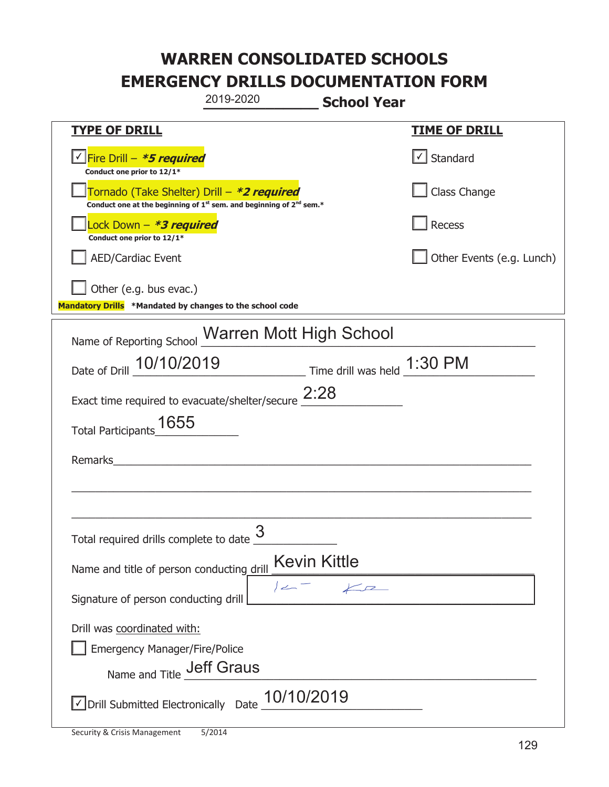|                                                                                    | 2019-2020                                                                                   | <b>School Year</b> |                                   |
|------------------------------------------------------------------------------------|---------------------------------------------------------------------------------------------|--------------------|-----------------------------------|
| <u>TYPE OF DRILL</u>                                                               |                                                                                             |                    | <b>TIME OF DRILL</b>              |
| Fire Drill - *5 required<br>Conduct one prior to 12/1*                             |                                                                                             |                    | $\lfloor \angle \rfloor$ Standard |
| Tornado (Take Shelter) Drill – *2 required                                         | Conduct one at the beginning of 1 <sup>st</sup> sem. and beginning of 2 <sup>nd</sup> sem.* |                    | Class Change                      |
| Lock Down - *3 required<br>Conduct one prior to 12/1*                              |                                                                                             |                    | Recess                            |
| <b>AED/Cardiac Event</b>                                                           |                                                                                             |                    | Other Events (e.g. Lunch)         |
| Other (e.g. bus evac.)<br>Mandatory Drills *Mandated by changes to the school code |                                                                                             |                    |                                   |
| Name of Reporting School Warren Mott High School                                   |                                                                                             |                    |                                   |
| Date of Drill 10/10/2019 Time drill was held 1:30 PM                               |                                                                                             |                    |                                   |
| Exact time required to evacuate/shelter/secure $2:28$                              |                                                                                             |                    |                                   |
| 1655<br><b>Total Participants</b>                                                  |                                                                                             |                    |                                   |
| Remarks                                                                            |                                                                                             |                    |                                   |
|                                                                                    |                                                                                             |                    |                                   |
| Total required drills complete to date $\frac{3}{2}$                               |                                                                                             |                    |                                   |
| Name and title of person conducting drill                                          | Kevin Kittle                                                                                |                    |                                   |
| Signature of person conducting drill                                               | $\angle$                                                                                    | $\sqrt{2}$         |                                   |
| Drill was coordinated with:                                                        |                                                                                             |                    |                                   |
| <b>Emergency Manager/Fire/Police</b>                                               | <b>Jeff Graus</b>                                                                           |                    |                                   |
| Name and Title                                                                     |                                                                                             |                    |                                   |
| $\vee$ Drill Submitted Electronically Date $\underline{\hspace{0.1cm}10/10/2019}$  |                                                                                             |                    |                                   |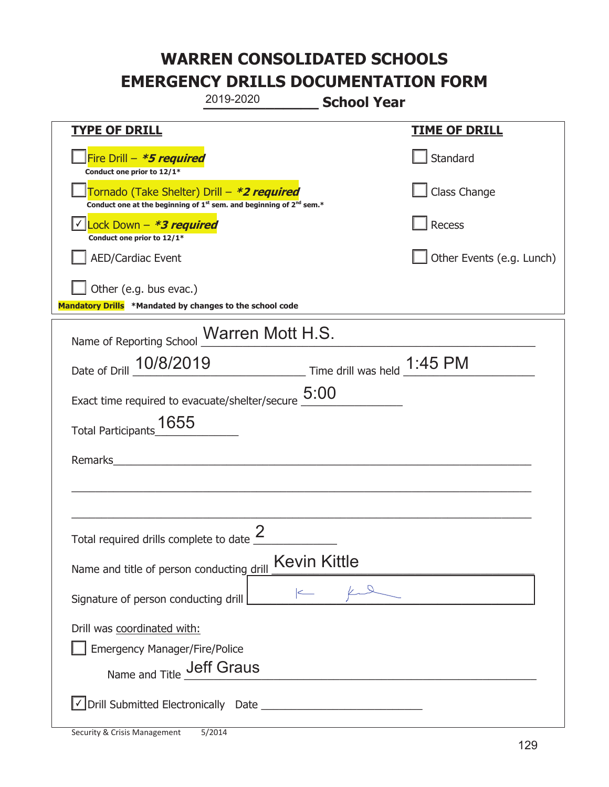|                                                                                                         | 2019-2020                                                                                   | <b>School Year</b>  |                           |
|---------------------------------------------------------------------------------------------------------|---------------------------------------------------------------------------------------------|---------------------|---------------------------|
| <b>TYPE OF DRILL</b>                                                                                    |                                                                                             |                     | <b>TIME OF DRILL</b>      |
| Fire Drill - *5 required<br>Conduct one prior to 12/1*                                                  |                                                                                             |                     | Standard                  |
| Tornado (Take Shelter) Drill – *2 required                                                              | Conduct one at the beginning of 1 <sup>st</sup> sem. and beginning of 2 <sup>nd</sup> sem.* |                     | Class Change              |
| Lock Down - *3 required<br>Conduct one prior to 12/1*                                                   |                                                                                             |                     | Recess                    |
| <b>AED/Cardiac Event</b>                                                                                |                                                                                             |                     | Other Events (e.g. Lunch) |
| Other (e.g. bus evac.)<br>Mandatory Drills *Mandated by changes to the school code                      |                                                                                             |                     |                           |
| Name of Reporting School Marren Mott H.S.                                                               |                                                                                             |                     |                           |
| Date of Drill 10/8/2019                                                                                 | Time drill was held 1:45 PM                                                                 |                     |                           |
| Exact time required to evacuate/shelter/secure $\underline{5:}00$                                       |                                                                                             |                     |                           |
| 1655<br><b>Total Participants</b>                                                                       |                                                                                             |                     |                           |
| Remarks                                                                                                 |                                                                                             |                     |                           |
|                                                                                                         |                                                                                             |                     |                           |
|                                                                                                         |                                                                                             |                     |                           |
| Total required drills complete to date $\leq$                                                           |                                                                                             |                     |                           |
| Name and title of person conducting drill                                                               |                                                                                             | <b>Kevin Kittle</b> |                           |
| Signature of person conducting drill                                                                    |                                                                                             |                     |                           |
| Drill was coordinated with:<br><b>Emergency Manager/Fire/Police</b><br>Name and Title <b>Jeff Graus</b> |                                                                                             |                     |                           |
|                                                                                                         |                                                                                             |                     |                           |